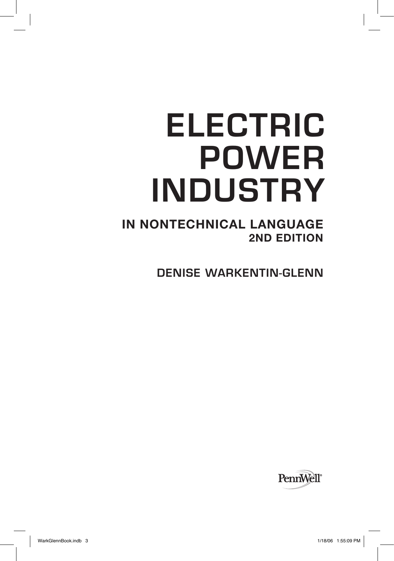## ELECTRIC POWER INDUSTRY

IN NONTECHNICAL LANGUAGE 2ND EDITION

DENISE WARKENTIN-GLENN

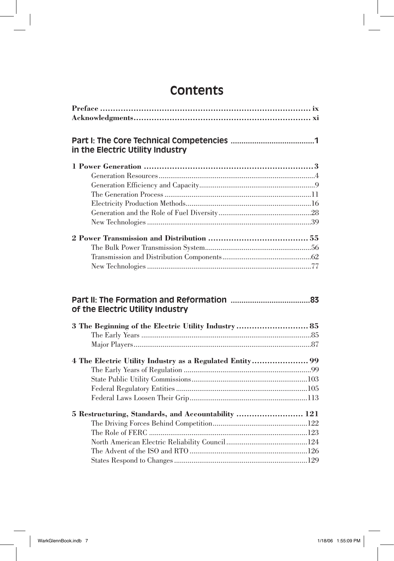## **Contents**

| in the Electric Utility Industry |
|----------------------------------|
|                                  |
|                                  |
|                                  |
|                                  |
|                                  |
|                                  |
|                                  |
|                                  |
|                                  |
|                                  |
|                                  |
|                                  |
|                                  |
| of the Electric Utility Industry |

| 3 The Beginning of the Electric Utility Industry 85      |  |
|----------------------------------------------------------|--|
|                                                          |  |
|                                                          |  |
| 4 The Electric Utility Industry as a Regulated Entity 99 |  |
|                                                          |  |
|                                                          |  |
|                                                          |  |
|                                                          |  |
| 5 Restructuring, Standards, and Accountability  121      |  |
|                                                          |  |
|                                                          |  |
|                                                          |  |
|                                                          |  |
|                                                          |  |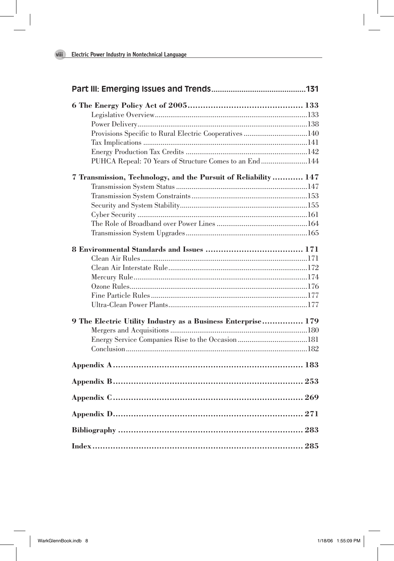| Provisions Specific to Rural Electric Cooperatives 140          |  |
|-----------------------------------------------------------------|--|
|                                                                 |  |
|                                                                 |  |
| PUHCA Repeal: 70 Years of Structure Comes to an End144          |  |
| 7 Transmission, Technology, and the Pursuit of Reliability  147 |  |
|                                                                 |  |
|                                                                 |  |
|                                                                 |  |
|                                                                 |  |
|                                                                 |  |
|                                                                 |  |
|                                                                 |  |
|                                                                 |  |
|                                                                 |  |
|                                                                 |  |
|                                                                 |  |
|                                                                 |  |
|                                                                 |  |
| 9 The Electric Utility Industry as a Business Enterprise 179    |  |
|                                                                 |  |
|                                                                 |  |
|                                                                 |  |
|                                                                 |  |
|                                                                 |  |
|                                                                 |  |
|                                                                 |  |
|                                                                 |  |
|                                                                 |  |
|                                                                 |  |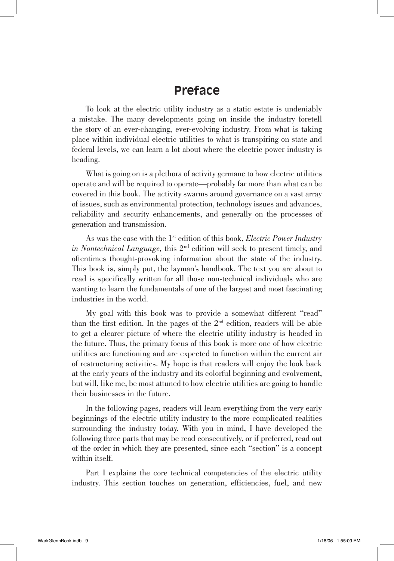### **Preface**

To look at the electric utility industry as a static estate is undeniably a mistake. The many developments going on inside the industry foretell the story of an ever-changing, ever-evolving industry. From what is taking place within individual electric utilities to what is transpiring on state and federal levels, we can learn a lot about where the electric power industry is heading.

What is going on is a plethora of activity germane to how electric utilities operate and will be required to operate—probably far more than what can be covered in this book. The activity swarms around governance on a vast array of issues, such as environmental protection, technology issues and advances, reliability and security enhancements, and generally on the processes of generation and transmission.

As was the case with the 1st edition of this book, *Electric Power Industry in Nontechnical Language*, this  $2^{nd}$  edition will seek to present timely, and oftentimes thought-provoking information about the state of the industry. This book is, simply put, the layman's handbook. The text you are about to read is specifically written for all those non-technical individuals who are wanting to learn the fundamentals of one of the largest and most fascinating industries in the world.

My goal with this book was to provide a somewhat different "read" than the first edition. In the pages of the  $2<sup>nd</sup>$  edition, readers will be able to get a clearer picture of where the electric utility industry is headed in the future. Thus, the primary focus of this book is more one of how electric utilities are functioning and are expected to function within the current air of restructuring activities. My hope is that readers will enjoy the look back at the early years of the industry and its colorful beginning and evolvement, but will, like me, be most attuned to how electric utilities are going to handle their businesses in the future.

In the following pages, readers will learn everything from the very early beginnings of the electric utility industry to the more complicated realities surrounding the industry today. With you in mind, I have developed the following three parts that may be read consecutively, or if preferred, read out of the order in which they are presented, since each "section" is a concept within itself.

Part I explains the core technical competencies of the electric utility industry. This section touches on generation, efficiencies, fuel, and new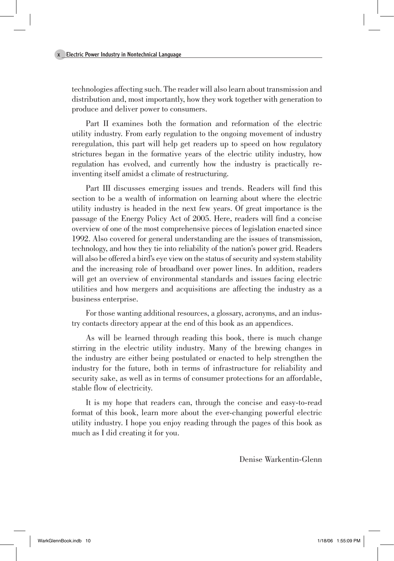technologies affecting such. The reader will also learn about transmission and distribution and, most importantly, how they work together with generation to produce and deliver power to consumers.

Part II examines both the formation and reformation of the electric utility industry. From early regulation to the ongoing movement of industry reregulation, this part will help get readers up to speed on how regulatory strictures began in the formative years of the electric utility industry, how regulation has evolved, and currently how the industry is practically reinventing itself amidst a climate of restructuring.

Part III discusses emerging issues and trends. Readers will find this section to be a wealth of information on learning about where the electric utility industry is headed in the next few years. Of great importance is the passage of the Energy Policy Act of 2005. Here, readers will find a concise overview of one of the most comprehensive pieces of legislation enacted since 1992. Also covered for general understanding are the issues of transmission, technology, and how they tie into reliability of the nation's power grid. Readers will also be offered a bird's eye view on the status of security and system stability and the increasing role of broadband over power lines. In addition, readers will get an overview of environmental standards and issues facing electric utilities and how mergers and acquisitions are affecting the industry as a business enterprise.

For those wanting additional resources, a glossary, acronyms, and an industry contacts directory appear at the end of this book as an appendices.

As will be learned through reading this book, there is much change stirring in the electric utility industry. Many of the brewing changes in the industry are either being postulated or enacted to help strengthen the industry for the future, both in terms of infrastructure for reliability and security sake, as well as in terms of consumer protections for an affordable, stable flow of electricity.

It is my hope that readers can, through the concise and easy-to-read format of this book, learn more about the ever-changing powerful electric utility industry. I hope you enjoy reading through the pages of this book as much as I did creating it for you.

Denise Warkentin-Glenn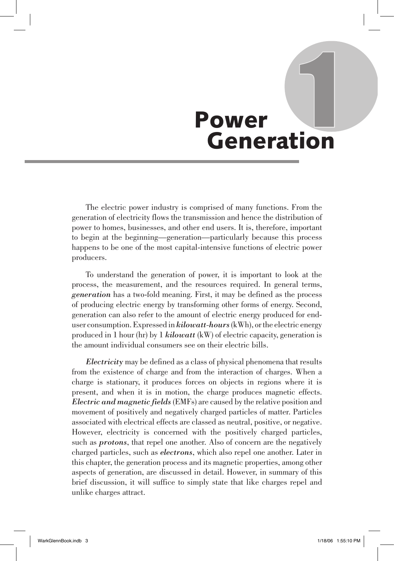# $\begin{bmatrix} 1 \\ 1 \\ 0 \\ 0 \\ 0 \\ 0 \\ \end{bmatrix}$ Power Generation

The electric power industry is comprised of many functions. From the generation of electricity flows the transmission and hence the distribution of power to homes, businesses, and other end users. It is, therefore, important to begin at the beginning—generation—particularly because this process happens to be one of the most capital-intensive functions of electric power producers.

To understand the generation of power, it is important to look at the process, the measurement, and the resources required. In general terms, *generation* has a two-fold meaning. First, it may be defined as the process of producing electric energy by transforming other forms of energy. Second, generation can also refer to the amount of electric energy produced for enduser consumption. Expressed in *kilowatt-hours* (kWh), or the electric energy produced in 1 hour (hr) by 1 *kilowatt* (kW) of electric capacity, generation is the amount individual consumers see on their electric bills.

*Electricity* may be defined as a class of physical phenomena that results from the existence of charge and from the interaction of charges. When a charge is stationary, it produces forces on objects in regions where it is present, and when it is in motion, the charge produces magnetic effects. *Electric and magnetic fields* (EMFs) are caused by the relative position and movement of positively and negatively charged particles of matter. Particles associated with electrical effects are classed as neutral, positive, or negative. However, electricity is concerned with the positively charged particles, such as *protons*, that repel one another. Also of concern are the negatively charged particles, such as *electrons*, which also repel one another. Later in this chapter, the generation process and its magnetic properties, among other aspects of generation, are discussed in detail. However, in summary of this brief discussion, it will suffice to simply state that like charges repel and unlike charges attract.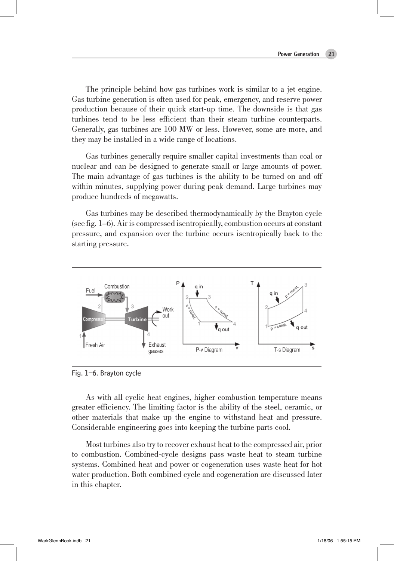The principle behind how gas turbines work is similar to a jet engine. Gas turbine generation is often used for peak, emergency, and reserve power production because of their quick start-up time. The downside is that gas turbines tend to be less efficient than their steam turbine counterparts. Generally, gas turbines are 100 MW or less. However, some are more, and they may be installed in a wide range of locations.

Gas turbines generally require smaller capital investments than coal or nuclear and can be designed to generate small or large amounts of power. The main advantage of gas turbines is the ability to be turned on and off within minutes, supplying power during peak demand. Large turbines may produce hundreds of megawatts.

Gas turbines may be described thermodynamically by the Brayton cycle (see fig. 1–6). Air is compressed isentropically, combustion occurs at constant pressure, and expansion over the turbine occurs isentropically back to the starting pressure.



#### Fig. 1–6. Brayton cycle

As with all cyclic heat engines, higher combustion temperature means greater efficiency. The limiting factor is the ability of the steel, ceramic, or other materials that make up the engine to withstand heat and pressure. Considerable engineering goes into keeping the turbine parts cool.

Most turbines also try to recover exhaust heat to the compressed air, prior to combustion. Combined-cycle designs pass waste heat to steam turbine systems. Combined heat and power or cogeneration uses waste heat for hot water production. Both combined cycle and cogeneration are discussed later in this chapter.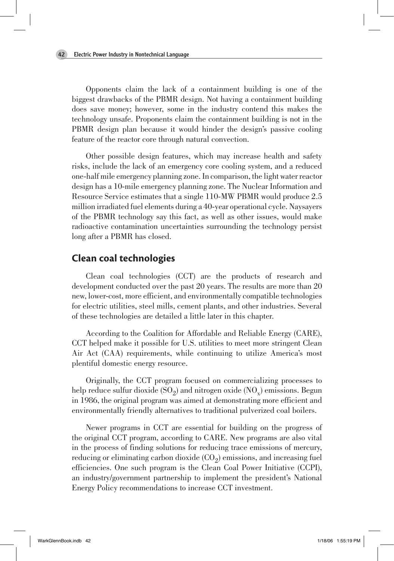Opponents claim the lack of a containment building is one of the biggest drawbacks of the PBMR design. Not having a containment building does save money; however, some in the industry contend this makes the technology unsafe. Proponents claim the containment building is not in the PBMR design plan because it would hinder the design's passive cooling feature of the reactor core through natural convection.

Other possible design features, which may increase health and safety risks, include the lack of an emergency core cooling system, and a reduced one-half mile emergency planning zone. In comparison, the light water reactor design has a 10-mile emergency planning zone. The Nuclear Information and Resource Service estimates that a single 110-MW PBMR would produce 2.5 million irradiated fuel elements during a 40-year operational cycle. Naysayers of the PBMR technology say this fact, as well as other issues, would make radioactive contamination uncertainties surrounding the technology persist long after a PBMR has closed.

#### **Clean coal technologies**

Clean coal technologies (CCT) are the products of research and development conducted over the past 20 years. The results are more than 20 new, lower-cost, more efficient, and environmentally compatible technologies for electric utilities, steel mills, cement plants, and other industries. Several of these technologies are detailed a little later in this chapter.

According to the Coalition for Affordable and Reliable Energy (CARE), CCT helped make it possible for U.S. utilities to meet more stringent Clean Air Act (CAA) requirements, while continuing to utilize America's most plentiful domestic energy resource.

Originally, the CCT program focused on commercializing processes to help reduce sulfur dioxide  $(SO<sub>2</sub>)$  and nitrogen oxide  $(NO<sub>v</sub>)$  emissions. Begun in 1986, the original program was aimed at demonstrating more efficient and environmentally friendly alternatives to traditional pulverized coal boilers.

Newer programs in CCT are essential for building on the progress of the original CCT program, according to CARE. New programs are also vital in the process of finding solutions for reducing trace emissions of mercury, reducing or eliminating carbon dioxide  $(CO<sub>2</sub>)$  emissions, and increasing fuel efficiencies. One such program is the Clean Coal Power Initiative (CCPI), an industry/government partnership to implement the president's National Energy Policy recommendations to increase CCT investment.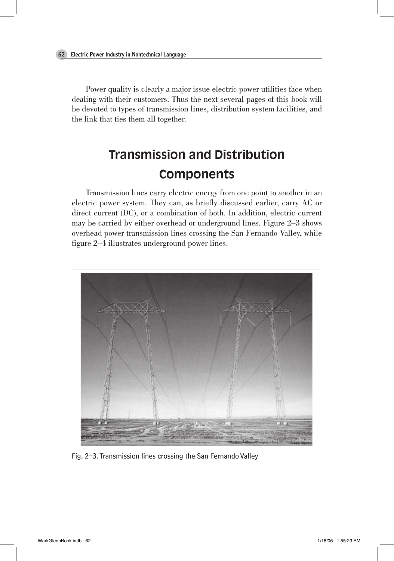Power quality is clearly a major issue electric power utilities face when dealing with their customers. Thus the next several pages of this book will be devoted to types of transmission lines, distribution system facilities, and the link that ties them all together.

## **Transmission and Distribution Components**

Transmission lines carry electric energy from one point to another in an electric power system. They can, as briefly discussed earlier, carry AC or direct current (DC), or a combination of both. In addition, electric current may be carried by either overhead or underground lines. Figure 2–3 shows overhead power transmission lines crossing the San Fernando Valley, while figure 2–4 illustrates underground power lines.



Fig. 2–3. Transmission lines crossing the San Fernando Valley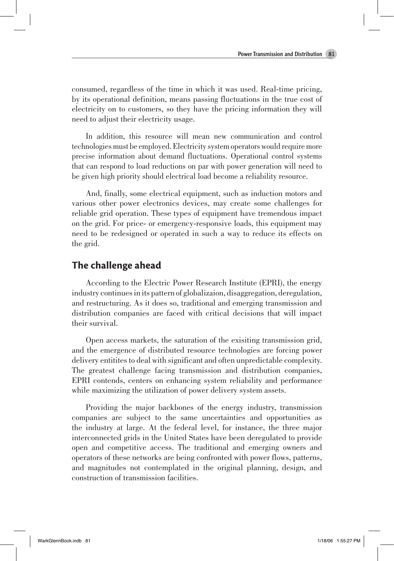consumed, regardless of the time in which it was used. Real-time pricing, by its operational definition, means passing fluctuations in the true cost of electricity on to customers, so they have the pricing information they will need to adjust their electricity usage.

In addition, this resource will mean new communication and control technologies must be employed. Electricity system operators would require more precise information about demand fluctuations. Operational control systems that can respond to load reductions on par with power generation will need to be given high priority should electrical load become a reliability resource.

And, finally, some electrical equipment, such as induction motors and various other power electronics devices, may create some challenges for reliable grid operation. These types of equipment have tremendous impact on the grid. For price- or emergency-responsive loads, this equipment may need to be redesigned or operated in such a way to reduce its effects on the grid.

#### **The challenge ahead**

According to the Electric Power Research Institute (EPRI), the energy industry continues in its pattern of globalizaion, disaggregation, deregulation, and restructuring. As it does so, traditional and emerging transmission and distribution companies are faced with critical decisions that will impact their survival.

Open access markets, the saturation of the exisiting transmission grid, and the emergence of distributed resource technologies are forcing power delivery entitites to deal with significant and often unpredictable complexity. The greatest challenge facing transmission and distribution companies, EPRI contends, centers on enhancing system reliability and performance while maximizing the utilization of power delivery system assets.

Providing the major backbones of the energy industry, transmission companies are subject to the same uncertainties and opportunities as the industry at large. At the federal level, for instance, the three major interconnected grids in the United States have been deregulated to provide open and competitive access. The traditional and emerging owners and operators of these networks are being confronted with power flows, patterns, and magnitudes not contemplated in the original planning, design, and construction of transmission facilities.